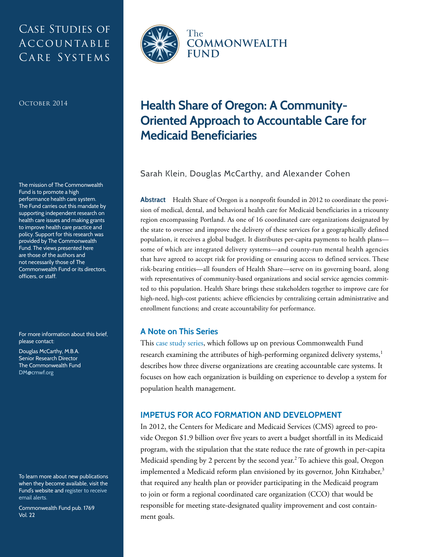# Case Studies of **ACCOUNTABLE** CARE SYSTEMS

The mission of The Commonwealth Fund is to promote a high performance health care system. The Fund carries out this mandate by supporting independent research on health care issues and making grants to improve health care practice and policy. Support for this research was provided by The Commonwealth Fund. The views presented here are those of the authors and not necessarily those of The Commonwealth Fund or its directors, officers, or staff.

For more information about this brief, please contact:

Douglas McCarthy, M.B.A. Senior Research Director The Commonwealth Fund D[M@cmwf.org](mailto:DM%40cmwf.org?subject=)

To learn more about new publications when they become available, visit the Fund's website and [register to receive](http://www.commonwealthfund.org/myprofile/myprofile_edit.htm)  [email alerts.](http://www.commonwealthfund.org/myprofile/myprofile_edit.htm)

Commonwealth Fund pub. 1769 Vol. 22



# **OCTOBER 2014 Health Share of Oregon: A Community-Oriented Approach to Accountable Care for Medicaid Beneficiaries**

## Sarah Klein, Douglas McCarthy, and Alexander Cohen

**Abstract** Health Share of Oregon is a nonprofit founded in 2012 to coordinate the provision of medical, dental, and behavioral health care for Medicaid beneficiaries in a tricounty region encompassing Portland. As one of 16 coordinated care organizations designated by the state to oversee and improve the delivery of these services for a geographically defined population, it receives a global budget. It distributes per-capita payments to health plans some of which are integrated delivery systems—and county-run mental health agencies that have agreed to accept risk for providing or ensuring access to defined services. These risk-bearing entities—all founders of Health Share—serve on its governing board, along with representatives of community-based organizations and social service agencies committed to this population. Health Share brings these stakeholders together to improve care for high-need, high-cost patients; achieve efficiencies by centralizing certain administrative and enrollment functions; and create accountability for performance.

### **A Note on This Series**

This [case study series,](http://www.commonwealthfund.org/publications/case-studies/2014/oct/road-to-accountable-care-synthesis) which follows up on previous Commonwealth Fund research examining the attributes of high-performing organized delivery systems,<sup>1</sup> describes how three diverse organizations are creating accountable care systems. It focuses on how each organization is building on experience to develop a system for population health management.

# **IMPETUS FOR ACO FORMATION AND DEVELOPMENT**

In 2012, the Centers for Medicare and Medicaid Services (CMS) agreed to provide Oregon \$1.9 billion over five years to avert a budget shortfall in its Medicaid program, with the stipulation that the state reduce the rate of growth in per-capita Medicaid spending by 2 percent by the second year.<sup>2</sup> To achieve this goal, Oregon implemented a Medicaid reform plan envisioned by its governor, John Kitzhaber,<sup>3</sup> that required any health plan or provider participating in the Medicaid program to join or form a regional coordinated care organization (CCO) that would be responsible for meeting state-designated quality improvement and cost containment goals.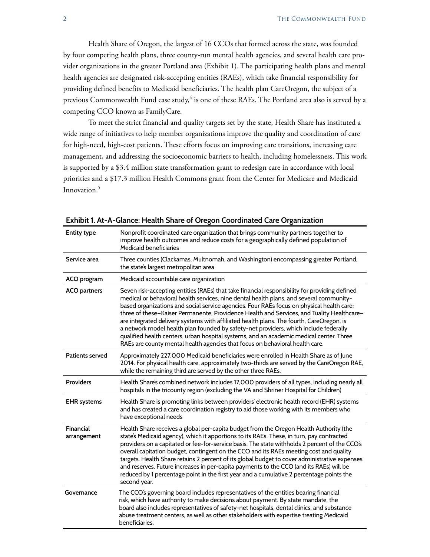Health Share of Oregon, the largest of 16 CCOs that formed across the state, was founded by four competing health plans, three county-run mental health agencies, and several health care provider organizations in the greater Portland area (Exhibit 1). The participating health plans and mental health agencies are designated risk-accepting entities (RAEs), which take financial responsibility for providing defined benefits to Medicaid beneficiaries. The health plan CareOregon, the subject of a previous Commonwealth Fund case study, $^4$  is one of these RAEs. The Portland area also is served by a competing CCO known as FamilyCare.

To meet the strict financial and quality targets set by the state, Health Share has instituted a wide range of initiatives to help member organizations improve the quality and coordination of care for high-need, high-cost patients. These efforts focus on improving care transitions, increasing care management, and addressing the socioeconomic barriers to health, including homelessness. This work is supported by a \$3.4 million state transformation grant to redesign care in accordance with local priorities and a \$17.3 million Health Commons grant from the Center for Medicare and Medicaid Innovation.<sup>5</sup>

| <b>Entity type</b>       | Nonprofit coordinated care organization that brings community partners together to<br>improve health outcomes and reduce costs for a geographically defined population of<br>Medicaid beneficiaries                                                                                                                                                                                                                                                                                                                                                                                                                                                                                                                                               |
|--------------------------|---------------------------------------------------------------------------------------------------------------------------------------------------------------------------------------------------------------------------------------------------------------------------------------------------------------------------------------------------------------------------------------------------------------------------------------------------------------------------------------------------------------------------------------------------------------------------------------------------------------------------------------------------------------------------------------------------------------------------------------------------|
| Service area             | Three counties (Clackamas, Multnomah, and Washington) encompassing greater Portland,<br>the state's largest metropolitan area                                                                                                                                                                                                                                                                                                                                                                                                                                                                                                                                                                                                                     |
| ACO program              | Medicaid accountable care organization                                                                                                                                                                                                                                                                                                                                                                                                                                                                                                                                                                                                                                                                                                            |
| <b>ACO</b> partners      | Seven risk-accepting entities (RAEs) that take financial responsibility for providing defined<br>medical or behavioral health services, nine dental health plans, and several community-<br>based organizations and social service agencies. Four RAEs focus on physical health care;<br>three of these-Kaiser Permanente, Providence Health and Services, and Tuality Healthcare-<br>are integrated delivery systems with affiliated health plans. The fourth, CareOregon, is<br>a network model health plan founded by safety-net providers, which include federally<br>qualified health centers, urban hospital systems, and an academic medical center. Three<br>RAEs are county mental health agencies that focus on behavioral health care. |
| <b>Patients served</b>   | Approximately 227,000 Medicaid beneficiaries were enrolled in Health Share as of June<br>2014. For physical health care, approximately two-thirds are served by the CareOregon RAE,<br>while the remaining third are served by the other three RAEs.                                                                                                                                                                                                                                                                                                                                                                                                                                                                                              |
| <b>Providers</b>         | Health Share's combined network includes 17,000 providers of all types, including nearly all<br>hospitals in the tricounty region (excluding the VA and Shriner Hospital for Children)                                                                                                                                                                                                                                                                                                                                                                                                                                                                                                                                                            |
| <b>EHR</b> systems       | Health Share is promoting links between providers' electronic health record (EHR) systems<br>and has created a care coordination registry to aid those working with its members who<br>have exceptional needs                                                                                                                                                                                                                                                                                                                                                                                                                                                                                                                                     |
| Financial<br>arrangement | Health Share receives a global per-capita budget from the Oregon Health Authority (the<br>state's Medicaid agency), which it apportions to its RAEs. These, in turn, pay contracted<br>providers on a capitated or fee-for-service basis. The state withholds 2 percent of the CCO's<br>overall capitation budget, contingent on the CCO and its RAEs meeting cost and quality<br>targets. Health Share retains 2 percent of its global budget to cover administrative expenses<br>and reserves. Future increases in per-capita payments to the CCO (and its RAEs) will be<br>reduced by 1 percentage point in the first year and a cumulative 2 percentage points the<br>second year.                                                            |
| Governance               | The CCO's governing board includes representatives of the entities bearing financial<br>risk, which have authority to make decisions about payment. By state mandate, the<br>board also includes representatives of safety-net hospitals, dental clinics, and substance<br>abuse treatment centers, as well as other stakeholders with expertise treating Medicaid<br>beneficiaries.                                                                                                                                                                                                                                                                                                                                                              |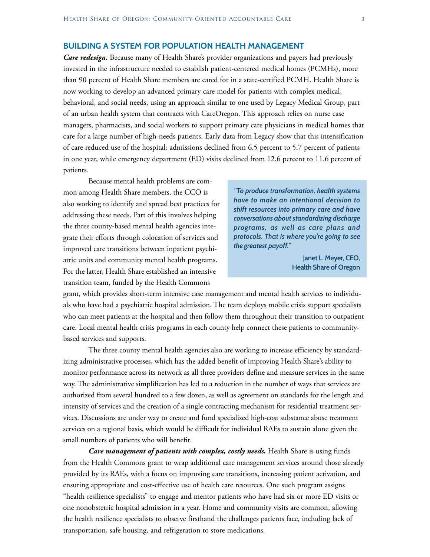### **BUILDING A SYSTEM FOR POPULATION HEALTH MANAGEMENT**

*Care redesign.* Because many of Health Share's provider organizations and payers had previously invested in the infrastructure needed to establish patient-centered medical homes (PCMHs), more than 90 percent of Health Share members are cared for in a state-certified PCMH. Health Share is now working to develop an advanced primary care model for patients with complex medical, behavioral, and social needs, using an approach similar to one used by Legacy Medical Group, part of an urban health system that contracts with CareOregon. This approach relies on nurse case managers, pharmacists, and social workers to support primary care physicians in medical homes that care for a large number of high-needs patients. Early data from Legacy show that this intensification of care reduced use of the hospital: admissions declined from 6.5 percent to 5.7 percent of patients in one year, while emergency department (ED) visits declined from 12.6 percent to 11.6 percent of patients.

Because mental health problems are common among Health Share members, the CCO is also working to identify and spread best practices for addressing these needs. Part of this involves helping the three county-based mental health agencies integrate their efforts through colocation of services and improved care transitions between inpatient psychiatric units and community mental health programs. For the latter, Health Share established an intensive transition team, funded by the Health Commons

*"To produce transformation, health systems have to make an intentional decision to shift resources into primary care and have conversations about standardizing discharge programs, as well as care plans and protocols. That is where you're going to see the greatest payoff."*

> **Janet L. Meyer, CEO, Health Share of Oregon**

grant, which provides short-term intensive case management and mental health services to individuals who have had a psychiatric hospital admission. The team deploys mobile crisis support specialists who can meet patients at the hospital and then follow them throughout their transition to outpatient care. Local mental health crisis programs in each county help connect these patients to communitybased services and supports.

The three county mental health agencies also are working to increase efficiency by standardizing administrative processes, which has the added benefit of improving Health Share's ability to monitor performance across its network as all three providers define and measure services in the same way. The administrative simplification has led to a reduction in the number of ways that services are authorized from several hundred to a few dozen, as well as agreement on standards for the length and intensity of services and the creation of a single contracting mechanism for residential treatment services. Discussions are under way to create and fund specialized high-cost substance abuse treatment services on a regional basis, which would be difficult for individual RAEs to sustain alone given the small numbers of patients who will benefit.

*Care management of patients with complex, costly needs.* Health Share is using funds from the Health Commons grant to wrap additional care management services around those already provided by its RAEs, with a focus on improving care transitions, increasing patient activation, and ensuring appropriate and cost-effective use of health care resources. One such program assigns "health resilience specialists" to engage and mentor patients who have had six or more ED visits or one nonobstetric hospital admission in a year. Home and community visits are common, allowing the health resilience specialists to observe firsthand the challenges patients face, including lack of transportation, safe housing, and refrigeration to store medications.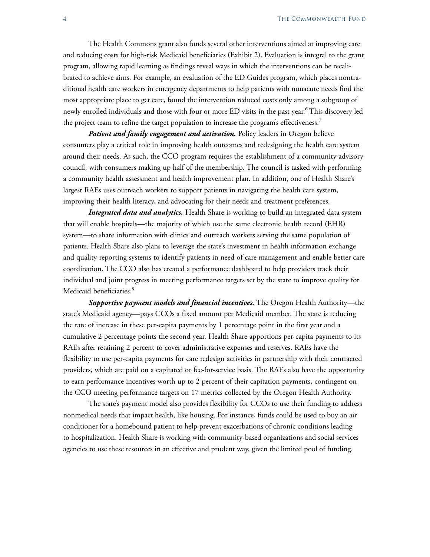The Health Commons grant also funds several other interventions aimed at improving care and reducing costs for high-risk Medicaid beneficiaries (Exhibit 2). Evaluation is integral to the grant program, allowing rapid learning as findings reveal ways in which the interventions can be recalibrated to achieve aims. For example, an evaluation of the ED Guides program, which places nontraditional health care workers in emergency departments to help patients with nonacute needs find the most appropriate place to get care, found the intervention reduced costs only among a subgroup of newly enrolled individuals and those with four or more ED visits in the past year.6 This discovery led the project team to refine the target population to increase the program's effectiveness.<sup>7</sup>

*Patient and family engagement and activation.* Policy leaders in Oregon believe consumers play a critical role in improving health outcomes and redesigning the health care system around their needs. As such, the CCO program requires the establishment of a community advisory council, with consumers making up half of the membership. The council is tasked with performing a community health assessment and health improvement plan. In addition, one of Health Share's largest RAEs uses outreach workers to support patients in navigating the health care system, improving their health literacy, and advocating for their needs and treatment preferences.

*Integrated data and analytics.* Health Share is working to build an integrated data system that will enable hospitals—the majority of which use the same electronic health record (EHR) system—to share information with clinics and outreach workers serving the same population of patients. Health Share also plans to leverage the state's investment in health information exchange and quality reporting systems to identify patients in need of care management and enable better care coordination. The CCO also has created a performance dashboard to help providers track their individual and joint progress in meeting performance targets set by the state to improve quality for Medicaid beneficiaries.<sup>8</sup>

*Supportive payment models and financial incentives.* The Oregon Health Authority—the state's Medicaid agency—pays CCOs a fixed amount per Medicaid member. The state is reducing the rate of increase in these per-capita payments by 1 percentage point in the first year and a cumulative 2 percentage points the second year. Health Share apportions per-capita payments to its RAEs after retaining 2 percent to cover administrative expenses and reserves. RAEs have the flexibility to use per-capita payments for care redesign activities in partnership with their contracted providers, which are paid on a capitated or fee-for-service basis. The RAEs also have the opportunity to earn performance incentives worth up to 2 percent of their capitation payments, contingent on the CCO meeting performance targets on 17 metrics collected by the Oregon Health Authority.

The state's payment model also provides flexibility for CCOs to use their funding to address nonmedical needs that impact health, like housing. For instance, funds could be used to buy an air conditioner for a homebound patient to help prevent exacerbations of chronic conditions leading to hospitalization. Health Share is working with community-based organizations and social services agencies to use these resources in an effective and prudent way, given the limited pool of funding.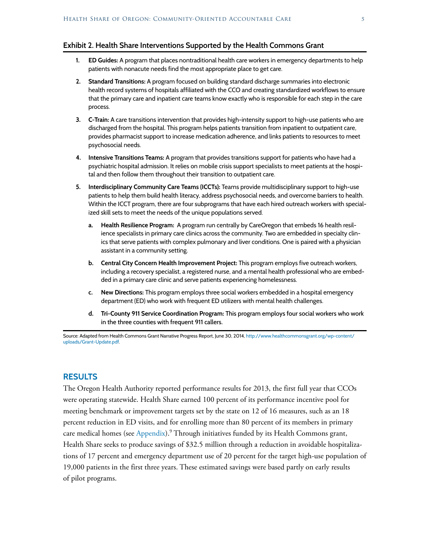#### **Exhibit 2. Health Share Interventions Supported by the Health Commons Grant**

- **1. ED Guides:** A program that places nontraditional health care workers in emergency departments to help patients with nonacute needs find the most appropriate place to get care.
- **2. Standard Transitions:** A program focused on building standard discharge summaries into electronic health record systems of hospitals affiliated with the CCO and creating standardized workflows to ensure that the primary care and inpatient care teams know exactly who is responsible for each step in the care process.
- **3. C-Train:** A care transitions intervention that provides high-intensity support to high-use patients who are discharged from the hospital. This program helps patients transition from inpatient to outpatient care, provides pharmacist support to increase medication adherence, and links patients to resources to meet psychosocial needs.
- **4. Intensive Transitions Teams:** A program that provides transitions support for patients who have had a psychiatric hospital admission. It relies on mobile crisis support specialists to meet patients at the hospital and then follow them throughout their transition to outpatient care.
- **5. Interdisciplinary Community Care Teams (ICCTs):** Teams provide multidisciplinary support to high-use patients to help them build health literacy, address psychosocial needs, and overcome barriers to health. Within the ICCT program, there are four subprograms that have each hired outreach workers with specialized skill sets to meet the needs of the unique populations served.
	- **a. Health Resilience Program:** A program run centrally by CareOregon that embeds 16 health resilience specialists in primary care clinics across the community. Two are embedded in specialty clinics that serve patients with complex pulmonary and liver conditions. One is paired with a physician assistant in a community setting.
	- **b. Central City Concern Health Improvement Project:** This program employs five outreach workers, including a recovery specialist, a registered nurse, and a mental health professional who are embedded in a primary care clinic and serve patients experiencing homelessness.
	- **c. New Directions:** This program employs three social workers embedded in a hospital emergency department (ED) who work with frequent ED utilizers with mental health challenges.
	- **d. Tri-County 911 Service Coordination Program:** This program employs four social workers who work in the three counties with frequent 911 callers.

Source: Adapted from Health Commons Grant Narrative Progress Report, June 30, 2014, [http://www.healthcommonsgrant.org/wp-content/](http://www.healthcommonsgrant.org/wp-content/uploads/Grant-Update.pdf) [uploads/Grant-Update.pdf](http://www.healthcommonsgrant.org/wp-content/uploads/Grant-Update.pdf).

#### **RESULTS**

The Oregon Health Authority reported performance results for 2013, the first full year that CCOs were operating statewide. Health Share earned 100 percent of its performance incentive pool for meeting benchmark or improvement targets set by the state on 12 of 16 measures, such as an 18 percent reduction in ED visits, and for enrolling more than 80 percent of its members in primary care medical homes (see [Appendix](#page-7-0)).<sup>9</sup> Through initiatives funded by its Health Commons grant, Health Share seeks to produce savings of \$32.5 million through a reduction in avoidable hospitalizations of 17 percent and emergency department use of 20 percent for the target high-use population of 19,000 patients in the first three years. These estimated savings were based partly on early results of pilot programs.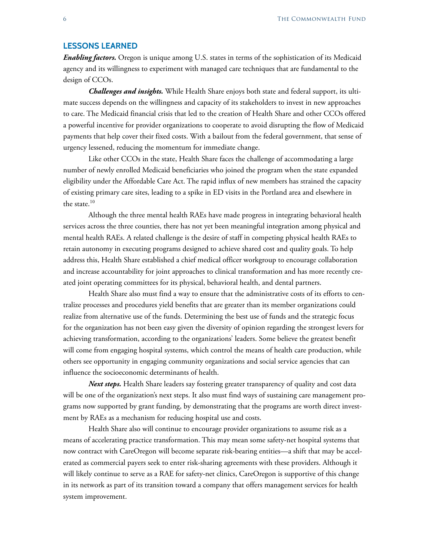#### **LESSONS LEARNED**

*Enabling factors.* Oregon is unique among U.S. states in terms of the sophistication of its Medicaid agency and its willingness to experiment with managed care techniques that are fundamental to the design of CCOs.

*Challenges and insights.* While Health Share enjoys both state and federal support, its ultimate success depends on the willingness and capacity of its stakeholders to invest in new approaches to care. The Medicaid financial crisis that led to the creation of Health Share and other CCOs offered a powerful incentive for provider organizations to cooperate to avoid disrupting the flow of Medicaid payments that help cover their fixed costs. With a bailout from the federal government, that sense of urgency lessened, reducing the momentum for immediate change.

Like other CCOs in the state, Health Share faces the challenge of accommodating a large number of newly enrolled Medicaid beneficiaries who joined the program when the state expanded eligibility under the Affordable Care Act. The rapid influx of new members has strained the capacity of existing primary care sites, leading to a spike in ED visits in the Portland area and elsewhere in the state.<sup>10</sup>

Although the three mental health RAEs have made progress in integrating behavioral health services across the three counties, there has not yet been meaningful integration among physical and mental health RAEs. A related challenge is the desire of staff in competing physical health RAEs to retain autonomy in executing programs designed to achieve shared cost and quality goals. To help address this, Health Share established a chief medical officer workgroup to encourage collaboration and increase accountability for joint approaches to clinical transformation and has more recently created joint operating committees for its physical, behavioral health, and dental partners.

Health Share also must find a way to ensure that the administrative costs of its efforts to centralize processes and procedures yield benefits that are greater than its member organizations could realize from alternative use of the funds. Determining the best use of funds and the strategic focus for the organization has not been easy given the diversity of opinion regarding the strongest levers for achieving transformation, according to the organizations' leaders. Some believe the greatest benefit will come from engaging hospital systems, which control the means of health care production, while others see opportunity in engaging community organizations and social service agencies that can influence the socioeconomic determinants of health.

*Next steps.* Health Share leaders say fostering greater transparency of quality and cost data will be one of the organization's next steps. It also must find ways of sustaining care management programs now supported by grant funding, by demonstrating that the programs are worth direct investment by RAEs as a mechanism for reducing hospital use and costs.

Health Share also will continue to encourage provider organizations to assume risk as a means of accelerating practice transformation. This may mean some safety-net hospital systems that now contract with CareOregon will become separate risk-bearing entities—a shift that may be accelerated as commercial payers seek to enter risk-sharing agreements with these providers. Although it will likely continue to serve as a RAE for safety-net clinics, CareOregon is supportive of this change in its network as part of its transition toward a company that offers management services for health system improvement.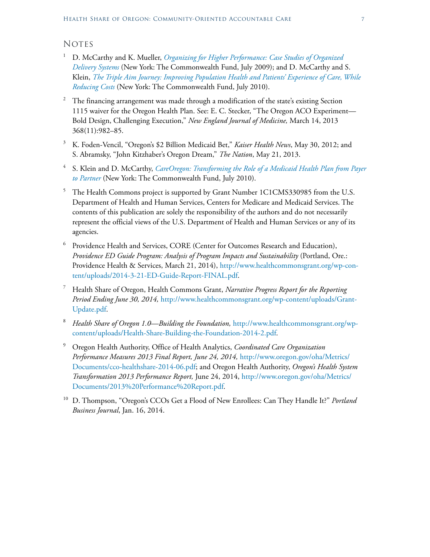## **NOTES**

- <sup>1</sup> D. McCarthy and K. Mueller, *[Organizing for Higher Performance: Case Studies of Organized](http://www.commonwealthfund.org/publications/case-studies/2009/jul/organizing-for-higher-performance-case-studies-of-organized-delivery-systems)  [Delivery Systems](http://www.commonwealthfund.org/publications/case-studies/2009/jul/organizing-for-higher-performance-case-studies-of-organized-delivery-systems)* (New York: The Commonwealth Fund, July 2009); and D. McCarthy and S. Klein, *[The Triple Aim Journey: Improving Population Health and Patients' Experience of Care, While](http://www.commonwealthfund.org/publications/case-studies/2010/jul/triple-aim-improving-population-health)  [Reducing Costs](http://www.commonwealthfund.org/publications/case-studies/2010/jul/triple-aim-improving-population-health)* (New York: The Commonwealth Fund, July 2010).
- <sup>2</sup> The financing arrangement was made through a modification of the state's existing Section 1115 waiver for the Oregon Health Plan. See: E. C. Stecker, "The Oregon ACO Experiment— Bold Design, Challenging Execution," *New England Journal of Medicine,* March 14, 2013 368(11):982–85.
- <sup>3</sup> K. Foden-Vencil, "Oregon's \$2 Billion Medicaid Bet," *Kaiser Health News*, May 30, 2012; and S. Abramsky, "John Kitzhaber's Oregon Dream," *The Nation*, May 21, 2013.
- <sup>4</sup> S. Klein and D. McCarthy, *[CareOregon: Transforming the Role of a Medicaid Health Plan from Payer](http://www.commonwealthfund.org/publications/case-studies/2010/jul/careoregon)  [to Partner](http://www.commonwealthfund.org/publications/case-studies/2010/jul/careoregon)* (New York: The Commonwealth Fund, July 2010).
- <sup>5</sup> The Health Commons project is supported by Grant Number 1C1CMS330985 from the U.S. Department of Health and Human Services, Centers for Medicare and Medicaid Services. The contents of this publication are solely the responsibility of the authors and do not necessarily represent the official views of the U.S. Department of Health and Human Services or any of its agencies.
- <sup>6</sup> Providence Health and Services, CORE (Center for Outcomes Research and Education), *Providence ED Guide Program: Analysis of Program Impacts and Sustainability* (Portland, Ore.: Providence Health & Services, March 21, 2014), [http://www.healthcommonsgrant.org/wp-con](http://www.healthcommonsgrant.org/wp-content/uploads/2014-3-21-ED-Guide-Report-FINAL.pdf)[tent/uploads/2014-3-21-ED-Guide-Report-FINAL.pdf.](http://www.healthcommonsgrant.org/wp-content/uploads/2014-3-21-ED-Guide-Report-FINAL.pdf)
- <sup>7</sup> Health Share of Oregon, Health Commons Grant, *Narrative Progress Report for the Reporting Period Ending June 30, 2014,* [http://www.healthcommonsgrant.org/wp-content/uploads/Grant-](http://www.healthcommonsgrant.org/wp-content/uploads/Grant-Update.pdf)[Update.pdf](http://www.healthcommonsgrant.org/wp-content/uploads/Grant-Update.pdf).
- <sup>8</sup> *Health Share of Oregon 1.0—Building the Foundation,* [http://www.healthcommonsgrant.org/wp](http://www.healthcommonsgrant.org/wp-content/uploads/Health-Share-Building-the-Foundation-2014-2.pdf)[content/uploads/Health-Share-Building-the-Foundation-2014-2.pdf](http://www.healthcommonsgrant.org/wp-content/uploads/Health-Share-Building-the-Foundation-2014-2.pdf).
- <sup>9</sup> Oregon Health Authority, Office of Health Analytics, *Coordinated Care Organization Performance Measures 2013 Final Report, June 24, 2014,* [http://www.oregon.gov/oha/Metrics/](http://www.oregon.gov/oha/Metrics/Documents/cco-healthshare-2014-06.pdf) [Documents/cco-healthshare-2014-06.pdf;](http://www.oregon.gov/oha/Metrics/Documents/cco-healthshare-2014-06.pdf) and Oregon Health Authority, *Oregon's Health System Transformation 2013 Performance Report,* June 24, 2014, [http://www.oregon.gov/oha/Metrics/](http://www.oregon.gov/oha/Metrics/Documents/2013%20Performance%20Report.pdf) [Documents/2013%20Performance%20Report.pdf](http://www.oregon.gov/oha/Metrics/Documents/2013%20Performance%20Report.pdf).
- <sup>10</sup> D. Thompson, "Oregon's CCOs Get a Flood of New Enrollees: Can They Handle It?" *Portland Business Journal*, Jan. 16, 2014.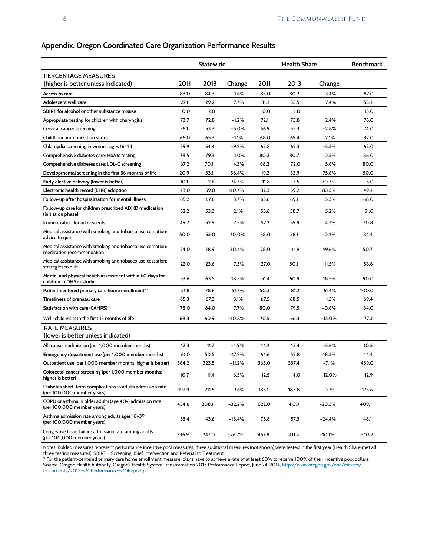## <span id="page-7-0"></span>**Appendix. Oregon Coordinated Care Organization Performance Results**

|                                                                                          | <b>Statewide</b> |       |          | <b>Health Share</b> |       |          | <b>Benchmark</b> |
|------------------------------------------------------------------------------------------|------------------|-------|----------|---------------------|-------|----------|------------------|
| <b>PERCENTAGE MEASURES</b>                                                               |                  |       |          |                     |       |          |                  |
| (higher is better unless indicated)                                                      | 2011             | 2013  | Change   | 2011                | 2013  | Change   |                  |
| Access to care                                                                           | 83.0             | 84.3  | 1.6%     | 83.0                | 80.2  | $-3.4%$  | 87.0             |
| Adolescent well care                                                                     | 27.1             | 29.2  | 7.7%     | 31.2                | 33.5  | 7.4%     | 53.2             |
| SBIRT for alcohol or other substance misuse                                              | 0.0              | 2.0   |          | 0.0                 | 1.0   |          | 13.0             |
| Appropriate testing for children with pharyngitis                                        | 73.7             | 72.8  | $-1.2%$  | 72.1                | 73.8  | 2.4%     | 76.0             |
| Cervical cancer screening                                                                | 56.1             | 53.3  | $-5.0%$  | 56.9                | 55.3  | $-2.8%$  | 74.0             |
| Childhood immunization status                                                            |                  | 65.3  | $-1.1\%$ | 68.0                | 69.4  | 2.1%     | 82.0             |
| Chlamydia screening in women ages 16-24                                                  |                  | 54.4  | $-9.2%$  | 65.8                | 62.3  | $-5.3%$  | 63.0             |
| Comprehensive diabetes care: HbA1c testing                                               |                  | 79.3  | 1.0%     | 80.3                | 80.7  | 0.5%     | 86.0             |
| Comprehensive diabetes care: LDL-C screening                                             |                  | 70.1  | 4.3%     | 68.2                | 72.0  | 5.6%     | 80.0             |
| Developmental screening in the first 36 months of life                                   |                  | 33.1  | 58.4%    | 19.3                | 33.9  | 75.6%    | 50.0             |
| Early elective delivery (lower is better)                                                |                  | 2.6   | $-74.3%$ | 11.8                | 3.5   | -70.3%   | 5.0              |
| Electronic health record (EHR) adoption                                                  | 28.0             | 59.0  | 110.7%   | 32.3                | 59.2  | 83.3%    | 49.2             |
| Follow-up after hospitalization for mental illness                                       | 65.2             | 67.6  | 3.7%     | 65.6                | 69.1  | 5.3%     | 68.0             |
| Follow-up care for children prescribed ADHD medication<br>(initiation phase)             | 52.2             | 53.3  | 2.1%     | 55.8                | 58.7  | 5.2%     | 51.0             |
| Immunization for adolescents                                                             | 49.2             | 52.9  | 7.5%     | 57.2                | 59.9  | 4.7%     | 70.8             |
| Medical assistance with smoking and tobacco use cessation:<br>advice to quit             | 50.0             | 55.0  | 10.0%    | 58.0                | 58.1  | 0.2%     | 84.4             |
| Medical assistance with smoking and tobacco use cessation:<br>medication recommendation  | 24.0             | 28.9  | 20.4%    | 28.0                | 41.9  | 49.6%    | 50.7             |
| Medical assistance with smoking and tobacco use cessation:<br>strategies to quit         | 22.0             | 23.6  | 7.3%     | 27.0                | 30.1  | 11.5%    | 56.6             |
| Mental and physical health assessment within 60 days for<br>children in DHS custody      | 53.6             | 63.5  | 18.5%    | 51.4                | 60.9  | 18.5%    | 90.0             |
| Patient-centered primary care home enrollment**                                          | 51.8             | 78.6  | 51.7%    | 50.3                | 81.2  | 61.4%    | 100.0            |
| Timeliness of prenatal care                                                              | 65.3             | 67.3  | 3.1%     | 67.5                | 68.5  | 1.5%     | 69.4             |
| Satisfaction with care (CAHPS)                                                           | 78.0             | 84.0  | 7.7%     | 80.0                | 79.5  | -0.6%    | 84.0             |
| Well-child visits in the first 15 months of life                                         | 68.3             | 60.9  | $-10.8%$ | 70.5                | 61.3  | $-13.0%$ | 77.3             |
| <b>RATE MEASURES</b>                                                                     |                  |       |          |                     |       |          |                  |
| (lower is better unless indicated)                                                       |                  |       |          |                     |       |          |                  |
| All-cause readmission (per 1,000 member months)                                          | 12.3             | 11.7  | $-4.9%$  | 14.2                | 13.4  | $-5.6%$  | 10.5             |
| Emergency department use (per 1,000 member months)                                       | 61.0             | 50.5  | $-17.2%$ | 64.6                | 52.8  | $-18.3%$ | 44.4             |
| Outpatient use (per 1,000 member months; higher is better)                               | 364.2            | 323.5 | $-11.2%$ | 363.0               | 337.4 | $-7.1%$  | 439.0            |
| Colorectal cancer screening (per 1,000 member months;<br>higher is better)               | 10.7             | 11.4  | 6.5%     | 12.5                | 14.0  | 12.0%    | 12.9             |
| Diabetes short-term complications in adults admission rate<br>(per 100,000 member years) | 192.9            | 211.5 | 9.6%     | 185.1               | 183.8 | $-0.7%$  | 173.6            |
| COPD or asthma in older adults (age 40+) admission rate<br>(per 100,000 member years)    | 454.6            | 308.1 | -32.2%   | 522.0               | 415.9 | $-20.3%$ | 409.1            |
| Asthma admission rate among adults ages 18-39<br>(per 100,000 member years)              | 53.4             | 43.6  | $-18.4%$ | 75.8                | 57.3  | $-24.4%$ | 48.1             |
| Congestive heart failure admission rate among adults<br>(per 100,000 member years)       | 336.9            | 247.0 | $-26.7%$ | 457.8               | 411.4 | $-10.1%$ | 303.2            |

Notes: Bolded measures represent performance incentive pool measures; three additional measures (not shown) were tested in the first year (Health Share met all three testing measures). SBIRT = Screening, Brief Intervention and Referral to Treatment.

\* For the patient-centered primary care home enrollment measure, plans have to achieve a rate of at least 60% to receive 100% of their incentive pool dollars. Source: Oregon Health Authority, Oregon's Health System Transformation 2013 Performance Report, June 24, 2014, [http://www.oregon.gov/oha/Metrics/]( http://www.oregon.gov/oha/Metrics/Documents/2013%20Performance%20Report.pdf) [Documents/2013%]( http://www.oregon.gov/oha/Metrics/Documents/2013%20Performance%20Report.pdf)20Performance[%20Report.pdf.]( http://www.oregon.gov/oha/Metrics/Documents/2013%20Performance%20Report.pdf)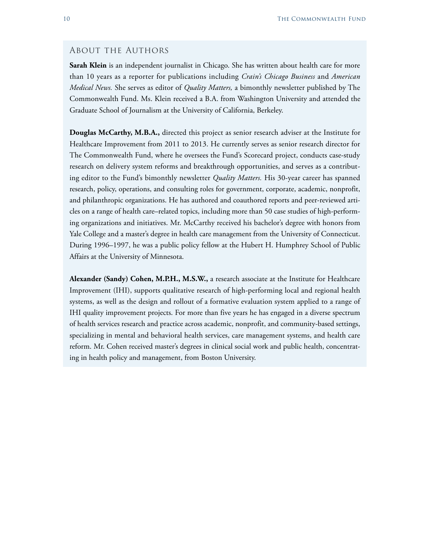#### About the Authors

**Sarah Klein** is an independent journalist in Chicago. She has written about health care for more than 10 years as a reporter for publications including *Crain's Chicago Business* and *American Medical News.* She serves as editor of *Quality Matters,* a bimonthly newsletter published by The Commonwealth Fund. Ms. Klein received a B.A. from Washington University and attended the Graduate School of Journalism at the University of California, Berkeley.

**Douglas McCarthy, M.B.A.,** directed this project as senior research adviser at the Institute for Healthcare Improvement from 2011 to 2013. He currently serves as senior research director for The Commonwealth Fund, where he oversees the Fund's Scorecard project, conducts case-study research on delivery system reforms and breakthrough opportunities, and serves as a contributing editor to the Fund's bimonthly newsletter *Quality Matters.* His 30-year career has spanned research, policy, operations, and consulting roles for government, corporate, academic, nonprofit, and philanthropic organizations. He has authored and coauthored reports and peer-reviewed articles on a range of health care–related topics, including more than 50 case studies of high-performing organizations and initiatives. Mr. McCarthy received his bachelor's degree with honors from Yale College and a master's degree in health care management from the University of Connecticut. During 1996–1997, he was a public policy fellow at the Hubert H. Humphrey School of Public Affairs at the University of Minnesota.

**Alexander (Sandy) Cohen, M.P.H., M.S.W.,** a research associate at the Institute for Healthcare Improvement (IHI), supports qualitative research of high-performing local and regional health systems, as well as the design and rollout of a formative evaluation system applied to a range of IHI quality improvement projects. For more than five years he has engaged in a diverse spectrum of health services research and practice across academic, nonprofit, and community-based settings, specializing in mental and behavioral health services, care management systems, and health care reform. Mr. Cohen received master's degrees in clinical social work and public health, concentrating in health policy and management, from Boston University.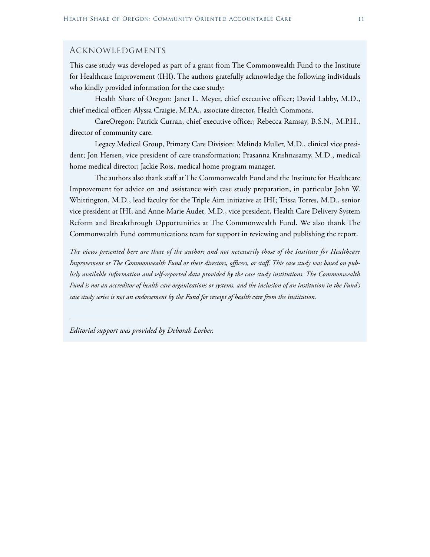## Acknowledgments

This case study was developed as part of a grant from The Commonwealth Fund to the Institute for Healthcare Improvement (IHI). The authors gratefully acknowledge the following individuals who kindly provided information for the case study:

Health Share of Oregon: Janet L. Meyer, chief executive officer; David Labby, M.D., chief medical officer; Alyssa Craigie, M.P.A., associate director, Health Commons.

CareOregon: Patrick Curran, chief executive officer; Rebecca Ramsay, B.S.N., M.P.H., director of community care.

Legacy Medical Group, Primary Care Division: Melinda Muller, M.D., clinical vice president; Jon Hersen, vice president of care transformation; Prasanna Krishnasamy, M.D., medical home medical director; Jackie Ross, medical home program manager.

The authors also thank staff at The Commonwealth Fund and the Institute for Healthcare Improvement for advice on and assistance with case study preparation, in particular John W. Whittington, M.D., lead faculty for the Triple Aim initiative at IHI; Trissa Torres, M.D., senior vice president at IHI; and Anne-Marie Audet, M.D., vice president, Health Care Delivery System Reform and Breakthrough Opportunities at The Commonwealth Fund. We also thank The Commonwealth Fund communications team for support in reviewing and publishing the report.

*The views presented here are those of the authors and not necessarily those of the Institute for Healthcare Improvement or The Commonwealth Fund or their directors, officers, or staff. This case study was based on publicly available information and self-reported data provided by the case study institutions. The Commonwealth Fund is not an accreditor of health care organizations or systems, and the inclusion of an institution in the Fund's case study series is not an endorsement by the Fund for receipt of health care from the institution.*

*Editorial support was provided by Deborah Lorber.*